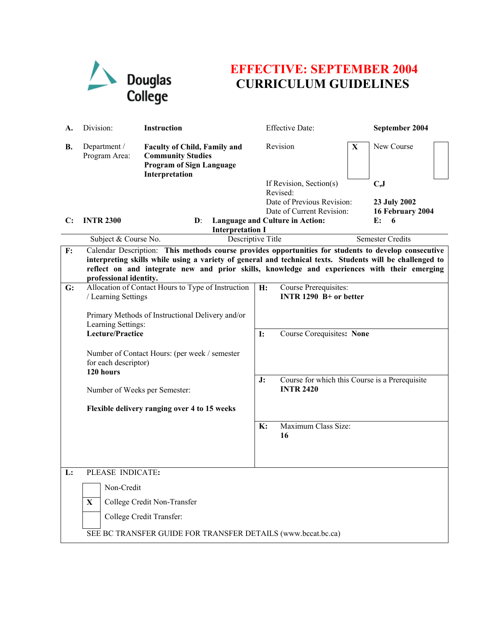

## **EFFECTIVE: SEPTEMBER 2004 CURRICULUM GUIDELINES**

| А.           | Division:                                                                                                                                                                                                                                                                                                                                  | <b>Instruction</b>                                                                                                   |    | <b>Effective Date:</b>                                                                                 |   | September 2004                              |  |  |
|--------------|--------------------------------------------------------------------------------------------------------------------------------------------------------------------------------------------------------------------------------------------------------------------------------------------------------------------------------------------|----------------------------------------------------------------------------------------------------------------------|----|--------------------------------------------------------------------------------------------------------|---|---------------------------------------------|--|--|
| В.           | Department /<br>Program Area:                                                                                                                                                                                                                                                                                                              | <b>Faculty of Child, Family and</b><br><b>Community Studies</b><br><b>Program of Sign Language</b><br>Interpretation |    | Revision                                                                                               | X | New Course                                  |  |  |
|              |                                                                                                                                                                                                                                                                                                                                            |                                                                                                                      |    | If Revision, Section(s)                                                                                |   | $C,\mathbf{J}$                              |  |  |
| $\mathbf{C}$ | <b>INTR 2300</b>                                                                                                                                                                                                                                                                                                                           | $\mathbf{D}$ :                                                                                                       |    | Revised:<br>Date of Previous Revision:<br>Date of Current Revision:<br>Language and Culture in Action: |   | 23 July 2002<br>16 February 2004<br>E:<br>6 |  |  |
|              |                                                                                                                                                                                                                                                                                                                                            | <b>Interpretation I</b>                                                                                              |    |                                                                                                        |   | <b>Semester Credits</b>                     |  |  |
| F:           | Subject & Course No.                                                                                                                                                                                                                                                                                                                       | Descriptive Title                                                                                                    |    |                                                                                                        |   |                                             |  |  |
|              | Calendar Description: This methods course provides opportunities for students to develop consecutive<br>interpreting skills while using a variety of general and technical texts. Students will be challenged to<br>reflect on and integrate new and prior skills, knowledge and experiences with their emerging<br>professional identity. |                                                                                                                      |    |                                                                                                        |   |                                             |  |  |
| G:           | Allocation of Contact Hours to Type of Instruction<br>/ Learning Settings                                                                                                                                                                                                                                                                  |                                                                                                                      | H: | Course Prerequisites:<br>INTR $1290$ B+ or better                                                      |   |                                             |  |  |
|              | Primary Methods of Instructional Delivery and/or                                                                                                                                                                                                                                                                                           |                                                                                                                      |    |                                                                                                        |   |                                             |  |  |
|              | Learning Settings:<br>Lecture/Practice                                                                                                                                                                                                                                                                                                     |                                                                                                                      |    | Course Corequisites: None<br>I:                                                                        |   |                                             |  |  |
|              | for each descriptor)<br>120 hours                                                                                                                                                                                                                                                                                                          | Number of Contact Hours: (per week / semester                                                                        |    |                                                                                                        |   |                                             |  |  |
|              | Number of Weeks per Semester:                                                                                                                                                                                                                                                                                                              |                                                                                                                      | J: | Course for which this Course is a Prerequisite<br><b>INTR 2420</b>                                     |   |                                             |  |  |
|              |                                                                                                                                                                                                                                                                                                                                            |                                                                                                                      |    |                                                                                                        |   |                                             |  |  |
|              |                                                                                                                                                                                                                                                                                                                                            | Flexible delivery ranging over 4 to 15 weeks                                                                         |    |                                                                                                        |   |                                             |  |  |
|              |                                                                                                                                                                                                                                                                                                                                            |                                                                                                                      | K: | Maximum Class Size:<br>16                                                                              |   |                                             |  |  |
|              |                                                                                                                                                                                                                                                                                                                                            |                                                                                                                      |    |                                                                                                        |   |                                             |  |  |
| L:           | PLEASE INDICATE:                                                                                                                                                                                                                                                                                                                           |                                                                                                                      |    |                                                                                                        |   |                                             |  |  |
|              | Non-Credit                                                                                                                                                                                                                                                                                                                                 |                                                                                                                      |    |                                                                                                        |   |                                             |  |  |
|              | $\mathbf{X}$                                                                                                                                                                                                                                                                                                                               | College Credit Non-Transfer                                                                                          |    |                                                                                                        |   |                                             |  |  |
|              |                                                                                                                                                                                                                                                                                                                                            | College Credit Transfer:                                                                                             |    |                                                                                                        |   |                                             |  |  |
|              | SEE BC TRANSFER GUIDE FOR TRANSFER DETAILS (www.bccat.bc.ca)                                                                                                                                                                                                                                                                               |                                                                                                                      |    |                                                                                                        |   |                                             |  |  |
|              |                                                                                                                                                                                                                                                                                                                                            |                                                                                                                      |    |                                                                                                        |   |                                             |  |  |